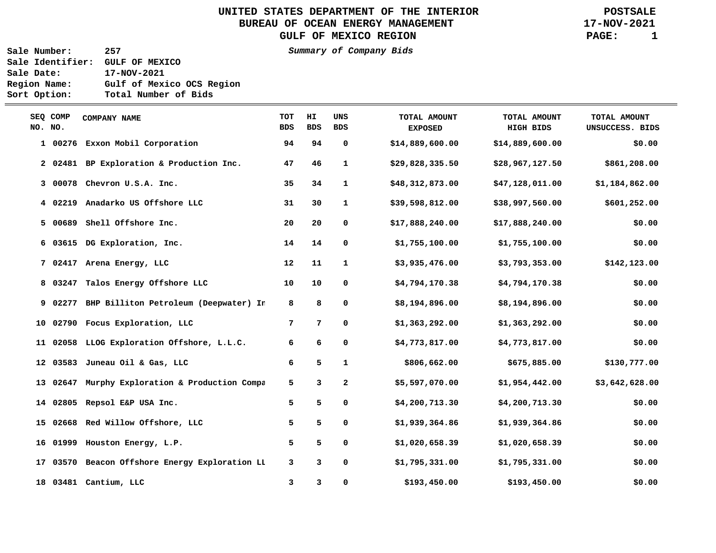UNITED STATES DEPARTMENT OF THE INTERIOR **POSTSALE**<br>BUREAU OF OCEAN ENERGY MANAGEMENT **POSTSALE** BUREAU OF OCEAN ENERGY MANAGEMENT GULF OF MEXICO REGION **PAGE:** 1

**Sale Number: 257 Summary of Company Bids Sale Identifier: GULF OF MEXICO Sale Date: 17-NOV-2021 Region Name: Gulf of Mexico OCS Region Sort Option: Total Number of Bids** 

 $\equiv$ 

| SEQ COMP<br>NO. NO. |         | COMPANY NAME                                   | <b>TOT</b><br><b>BDS</b> | HI.<br><b>BDS</b> | UNS<br><b>BDS</b> | TOTAL AMOUNT<br><b>EXPOSED</b> | TOTAL AMOUNT<br><b>HIGH BIDS</b> | TOTAL AMOUNT<br>UNSUCCESS. BIDS |
|---------------------|---------|------------------------------------------------|--------------------------|-------------------|-------------------|--------------------------------|----------------------------------|---------------------------------|
|                     |         | 1 00276 Exxon Mobil Corporation                | 94                       | 94                | 0                 | \$14,889,600.00                | \$14,889,600.00                  | \$0.00                          |
|                     |         | 2 02481 BP Exploration & Production Inc.       | 47                       | 46                | 1                 | \$29,828,335.50                | \$28,967,127.50                  | \$861,208.00                    |
|                     |         | 3 00078 Chevron U.S.A. Inc.                    | 35                       | 34                | $\mathbf{1}$      | \$48,312,873.00                | \$47,128,011.00                  | \$1,184,862.00                  |
|                     |         | 4 02219 Anadarko US Offshore LLC               | 31                       | 30                | $\mathbf{1}$      | \$39,598,812.00                | \$38,997,560.00                  | \$601,252.00                    |
|                     | 5 00689 | Shell Offshore Inc.                            | 20                       | 20                | 0                 | \$17,888,240.00                | \$17,888,240.00                  | \$0.00                          |
|                     |         | 6 03615 DG Exploration, Inc.                   | 14                       | 14                | 0                 | \$1,755,100.00                 | \$1,755,100.00                   | \$0.00                          |
|                     |         | 7 02417 Arena Energy, LLC                      | 12                       | 11                | $\mathbf{1}$      | \$3,935,476.00                 | \$3,793,353.00                   | \$142,123.00                    |
|                     |         | 8 03247 Talos Energy Offshore LLC              | 10                       | 10                | 0                 | \$4,794,170.38                 | \$4,794,170.38                   | \$0.00                          |
|                     |         | 9 02277 BHP Billiton Petroleum (Deepwater) In  | 8                        | 8                 | 0                 | \$8,194,896.00                 | \$8,194,896.00                   | \$0.00                          |
|                     |         | 10 02790 Focus Exploration, LLC                | 7                        | 7                 | 0                 | \$1,363,292.00                 | \$1,363,292.00                   | \$0.00                          |
|                     |         | 11 02058 LLOG Exploration Offshore, L.L.C.     | 6                        | 6                 | 0                 | \$4,773,817.00                 | \$4,773,817.00                   | \$0.00                          |
|                     |         | 12 03583 Juneau Oil & Gas, LLC                 | 6                        | 5                 | $\mathbf{1}$      | \$806,662.00                   | \$675,885.00                     | \$130,777.00                    |
|                     |         | 13 02647 Murphy Exploration & Production Compa | 5                        | 3                 | $\mathbf{2}$      | \$5,597,070.00                 | \$1,954,442.00                   | \$3,642,628.00                  |
|                     |         | 14 02805 Repsol E&P USA Inc.                   | 5                        | 5                 | 0                 | \$4,200,713.30                 | \$4,200,713.30                   | \$0.00                          |
|                     |         | 15 02668 Red Willow Offshore, LLC              | 5                        | 5                 | 0                 | \$1,939,364.86                 | \$1,939,364.86                   | \$0.00                          |
|                     |         | 16 01999 Houston Energy, L.P.                  | 5                        | 5                 | 0                 | \$1,020,658.39                 | \$1,020,658.39                   | \$0.00                          |
| 17                  |         | 03570 Beacon Offshore Energy Exploration LI    | 3                        | 3                 | 0                 | \$1,795,331.00                 | \$1,795,331.00                   | \$0.00                          |
|                     |         | 18 03481 Cantium, LLC                          | 3                        | 3                 | 0                 | \$193,450.00                   | \$193,450.00                     | \$0.00                          |